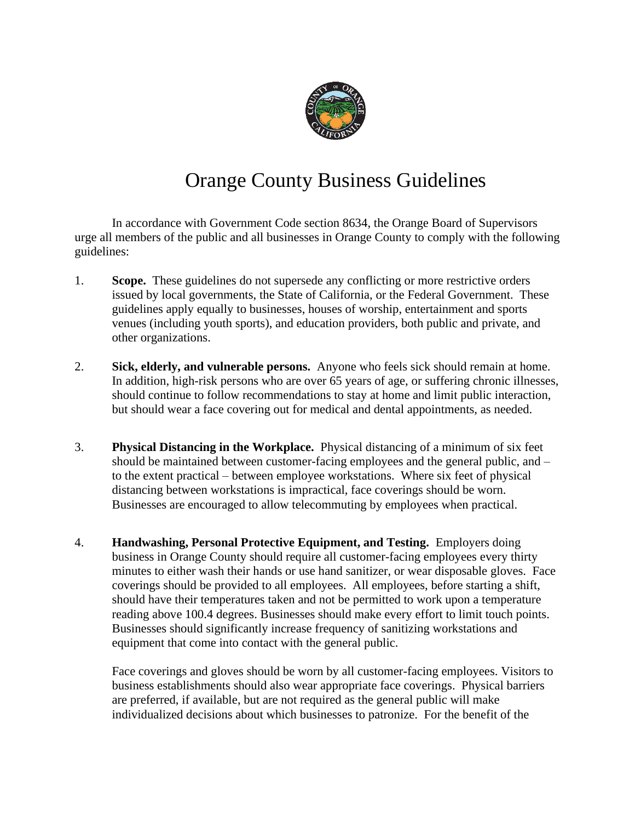

## Orange County Business Guidelines

In accordance with Government Code section 8634, the Orange Board of Supervisors urge all members of the public and all businesses in Orange County to comply with the following guidelines:

- 1. **Scope.** These guidelines do not supersede any conflicting or more restrictive orders issued by local governments, the State of California, or the Federal Government. These guidelines apply equally to businesses, houses of worship, entertainment and sports venues (including youth sports), and education providers, both public and private, and other organizations.
- 2. **Sick, elderly, and vulnerable persons.** Anyone who feels sick should remain at home. In addition, high-risk persons who are over 65 years of age, or suffering chronic illnesses, should continue to follow recommendations to stay at home and limit public interaction, but should wear a face covering out for medical and dental appointments, as needed.
- 3. **Physical Distancing in the Workplace.** Physical distancing of a minimum of six feet should be maintained between customer-facing employees and the general public, and – to the extent practical – between employee workstations. Where six feet of physical distancing between workstations is impractical, face coverings should be worn. Businesses are encouraged to allow telecommuting by employees when practical.
- 4. **Handwashing, Personal Protective Equipment, and Testing.** Employers doing business in Orange County should require all customer-facing employees every thirty minutes to either wash their hands or use hand sanitizer, or wear disposable gloves. Face coverings should be provided to all employees. All employees, before starting a shift, should have their temperatures taken and not be permitted to work upon a temperature reading above 100.4 degrees. Businesses should make every effort to limit touch points. Businesses should significantly increase frequency of sanitizing workstations and equipment that come into contact with the general public.

Face coverings and gloves should be worn by all customer-facing employees. Visitors to business establishments should also wear appropriate face coverings. Physical barriers are preferred, if available, but are not required as the general public will make individualized decisions about which businesses to patronize. For the benefit of the